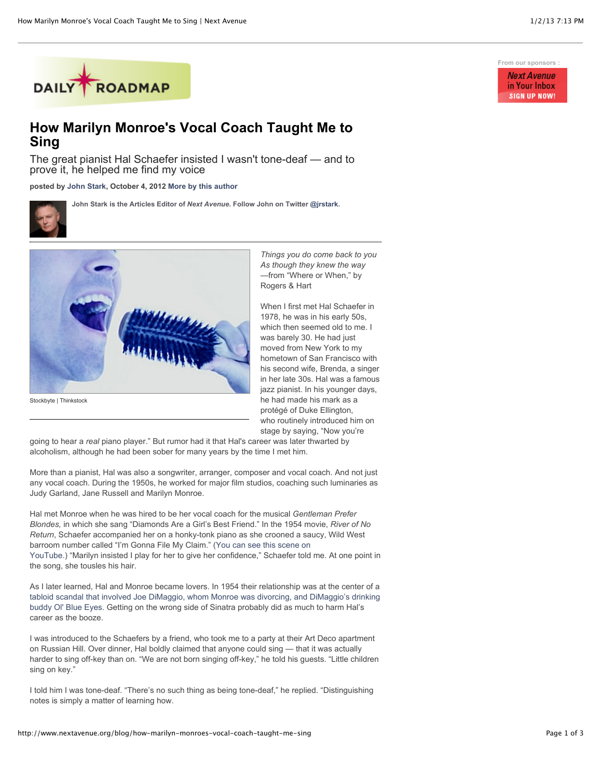

## **How Marilyn Monroe's Vocal Coach Taught Me to Sing**

The great pianist Hal Schaefer insisted I wasn't tone-deaf — and to prove it, he helped me find my voice

**posted by [John Stark,](http://www.nextavenue.org/staff/john-stark) October 4, 2012 [More by this author](http://www.nextavenue.org/staff/john-stark)**

**John Stark is the Articles Editor of** *Next Avenue***. Follow John on Twitter [@jrstark.](http://twitter.com/jrstark)**





Stockbyte | Thinkstock

*Things you do come back to you As though they knew the way* —from "Where or When," by Rogers & Hart

When I first met Hal Schaefer in 1978, he was in his early 50s, which then seemed old to me. I was barely 30. He had just moved from New York to my hometown of San Francisco with his second wife, Brenda, a singer in her late 30s. Hal was a famous jazz pianist. In his younger days, he had made his mark as a protégé of Duke Ellington, who routinely introduced him on stage by saying, "Now you're

going to hear a *real* piano player." But rumor had it that Hal's career was later thwarted by alcoholism, although he had been sober for many years by the time I met him.

More than a pianist, Hal was also a songwriter, arranger, composer and vocal coach. And not just any vocal coach. During the 1950s, he worked for major film studios, coaching such luminaries as Judy Garland, Jane Russell and Marilyn Monroe.

Hal met Monroe when he was hired to be her vocal coach for the musical *Gentleman Prefer Blondes,* in which she sang "Diamonds Are a Girl's Best Friend." In the 1954 movie, *River of No Return*, Schaefer accompanied her on a honky-tonk piano as she crooned a saucy, Wild West barroom number called "I'm Gonna File My Claim." (You can see this scene on [YouTube.\) "Marilyn insisted I play for her to give her confidence," Schaefer told](http://www.youtube.com/watch?v=BIqFyl4Hihs) me. At one point in the song, she tousles his hair.

As I later learned, Hal and Monroe became lovers. In 1954 their relationship was at the center of a [tabloid scandal that involved Joe DiMaggio, whom Monroe was divorcing, and DiMaggio's drinking](http://latimesblogs.latimes.com/thedailymirror/2007/06/marilyn_monroe.html) buddy Ol' Blue Eyes. Getting on the wrong side of Sinatra probably did as much to harm Hal's career as the booze.

I was introduced to the Schaefers by a friend, who took me to a party at their Art Deco apartment on Russian Hill. Over dinner, Hal boldly claimed that anyone could sing — that it was actually harder to sing off-key than on. "We are not born singing off-key," he told his guests. "Little children sing on key."

I told him I was tone-deaf. "There's no such thing as being tone-deaf," he replied. "Distinguishing notes is simply a matter of learning how.

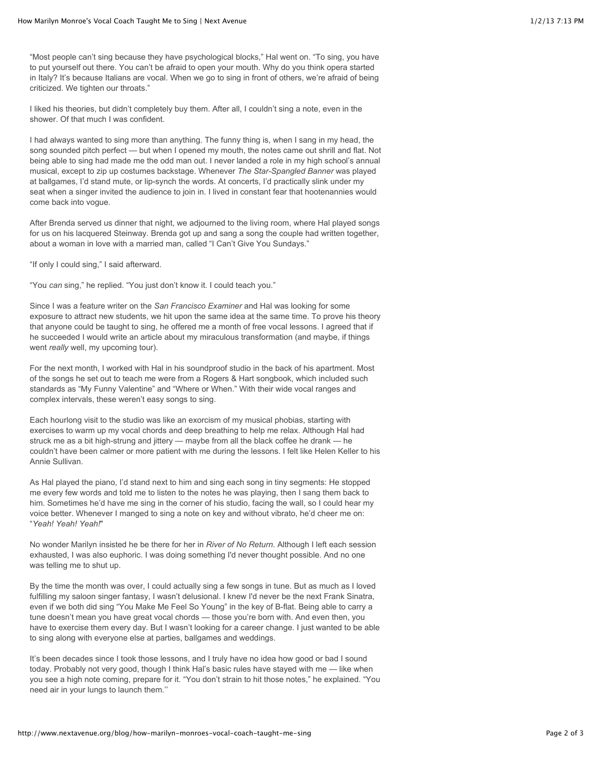"Most people can't sing because they have psychological blocks," Hal went on. "To sing, you have to put yourself out there. You can't be afraid to open your mouth. Why do you think opera started in Italy? It's because Italians are vocal. When we go to sing in front of others, we're afraid of being criticized. We tighten our throats."

I liked his theories, but didn't completely buy them. After all, I couldn't sing a note, even in the shower. Of that much I was confident.

I had always wanted to sing more than anything. The funny thing is, when I sang in my head, the song sounded pitch perfect — but when I opened my mouth, the notes came out shrill and flat. Not being able to sing had made me the odd man out. I never landed a role in my high school's annual musical, except to zip up costumes backstage. Whenever *The Star-Spangled Banner* was played at ballgames, I'd stand mute, or lip-synch the words. At concerts, I'd practically slink under my seat when a singer invited the audience to join in. I lived in constant fear that hootenannies would come back into vogue.

After Brenda served us dinner that night, we adjourned to the living room, where Hal played songs for us on his lacquered Steinway. Brenda got up and sang a song the couple had written together, about a woman in love with a married man, called "I Can't Give You Sundays."

"If only I could sing," I said afterward.

"You *can* sing," he replied. "You just don't know it. I could teach you."

Since I was a feature writer on the *San Francisco Examiner* and Hal was looking for some exposure to attract new students, we hit upon the same idea at the same time. To prove his theory that anyone could be taught to sing, he offered me a month of free vocal lessons. I agreed that if he succeeded I would write an article about my miraculous transformation (and maybe, if things went *really* well, my upcoming tour).

For the next month, I worked with Hal in his soundproof studio in the back of his apartment. Most of the songs he set out to teach me were from a Rogers & Hart songbook, which included such standards as "My Funny Valentine" and "Where or When." With their wide vocal ranges and complex intervals, these weren't easy songs to sing.

Each hourlong visit to the studio was like an exorcism of my musical phobias, starting with exercises to warm up my vocal chords and deep breathing to help me relax. Although Hal had struck me as a bit high-strung and jittery — maybe from all the black coffee he drank — he couldn't have been calmer or more patient with me during the lessons. I felt like Helen Keller to his Annie Sullivan.

As Hal played the piano, I'd stand next to him and sing each song in tiny segments: He stopped me every few words and told me to listen to the notes he was playing, then I sang them back to him. Sometimes he'd have me sing in the corner of his studio, facing the wall, so I could hear my voice better. Whenever I manged to sing a note on key and without vibrato, he'd cheer me on: "*Yeah! Yeah! Yeah!*"

No wonder Marilyn insisted he be there for her in *River of No Return*. Although I left each session exhausted, I was also euphoric. I was doing something I'd never thought possible. And no one was telling me to shut up.

By the time the month was over, I could actually sing a few songs in tune. But as much as I loved fulfilling my saloon singer fantasy, I wasn't delusional. I knew I'd never be the next Frank Sinatra, even if we both did sing "You Make Me Feel So Young" in the key of B-flat. Being able to carry a tune doesn't mean you have great vocal chords — those you're born with. And even then, you have to exercise them every day. But I wasn't looking for a career change. I just wanted to be able to sing along with everyone else at parties, ballgames and weddings.

It's been decades since I took those lessons, and I truly have no idea how good or bad I sound today. Probably not very good, though I think Hal's basic rules have stayed with me — like when you see a high note coming, prepare for it. "You don't strain to hit those notes," he explained. "You need air in your lungs to launch them.''